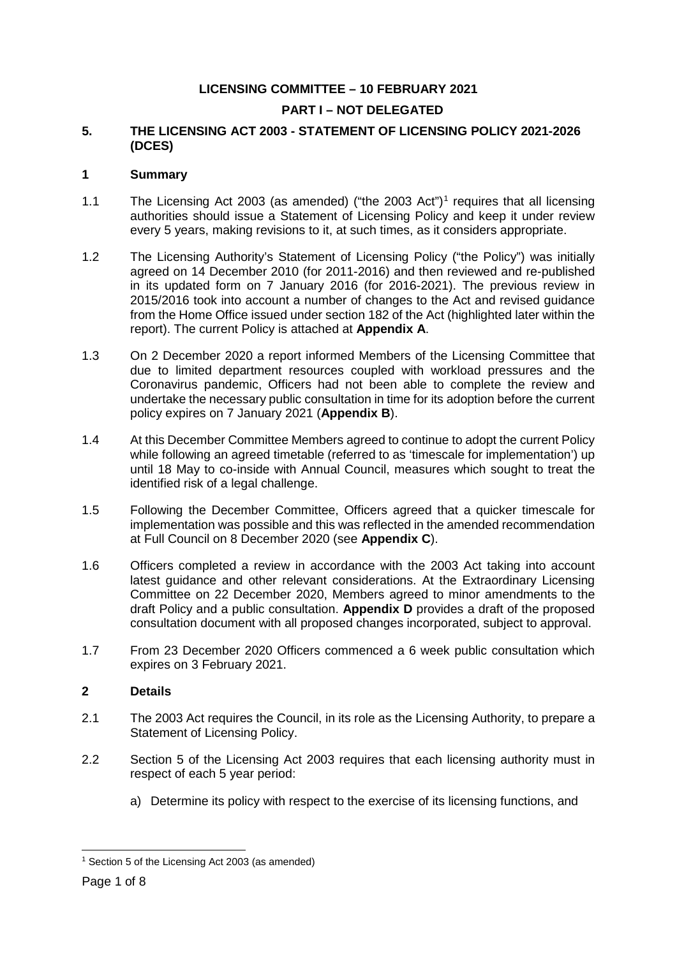## **LICENSING COMMITTEE – 10 FEBRUARY 2021**

## **PART I – NOT DELEGATED**

## **5. THE LICENSING ACT 2003 - STATEMENT OF LICENSING POLICY 2021-2026 (DCES)**

### **1 Summary**

- [1](#page-0-0).1 The Licensing Act 2003 (as amended) ("the 2003 Act")<sup>1</sup> requires that all licensing authorities should issue a Statement of Licensing Policy and keep it under review every 5 years, making revisions to it, at such times, as it considers appropriate.
- 1.2 The Licensing Authority's Statement of Licensing Policy ("the Policy") was initially agreed on 14 December 2010 (for 2011-2016) and then reviewed and re-published in its updated form on 7 January 2016 (for 2016-2021). The previous review in 2015/2016 took into account a number of changes to the Act and revised guidance from the Home Office issued under section 182 of the Act (highlighted later within the report). The current Policy is attached at **Appendix A**.
- 1.3 On 2 December 2020 a report informed Members of the Licensing Committee that due to limited department resources coupled with workload pressures and the Coronavirus pandemic, Officers had not been able to complete the review and undertake the necessary public consultation in time for its adoption before the current policy expires on 7 January 2021 (**Appendix B**).
- 1.4 At this December Committee Members agreed to continue to adopt the current Policy while following an agreed timetable (referred to as 'timescale for implementation') up until 18 May to co-inside with Annual Council, measures which sought to treat the identified risk of a legal challenge.
- 1.5 Following the December Committee, Officers agreed that a quicker timescale for implementation was possible and this was reflected in the amended recommendation at Full Council on 8 December 2020 (see **Appendix C**).
- 1.6 Officers completed a review in accordance with the 2003 Act taking into account latest guidance and other relevant considerations. At the Extraordinary Licensing Committee on 22 December 2020, Members agreed to minor amendments to the draft Policy and a public consultation. **Appendix D** provides a draft of the proposed consultation document with all proposed changes incorporated, subject to approval.
- 1.7 From 23 December 2020 Officers commenced a 6 week public consultation which expires on 3 February 2021.

## **2 Details**

- 2.1 The 2003 Act requires the Council, in its role as the Licensing Authority, to prepare a Statement of Licensing Policy.
- 2.2 Section 5 of the Licensing Act 2003 requires that each licensing authority must in respect of each 5 year period:
	- a) Determine its policy with respect to the exercise of its licensing functions, and

<span id="page-0-0"></span> <sup>1</sup> Section 5 of the Licensing Act 2003 (as amended)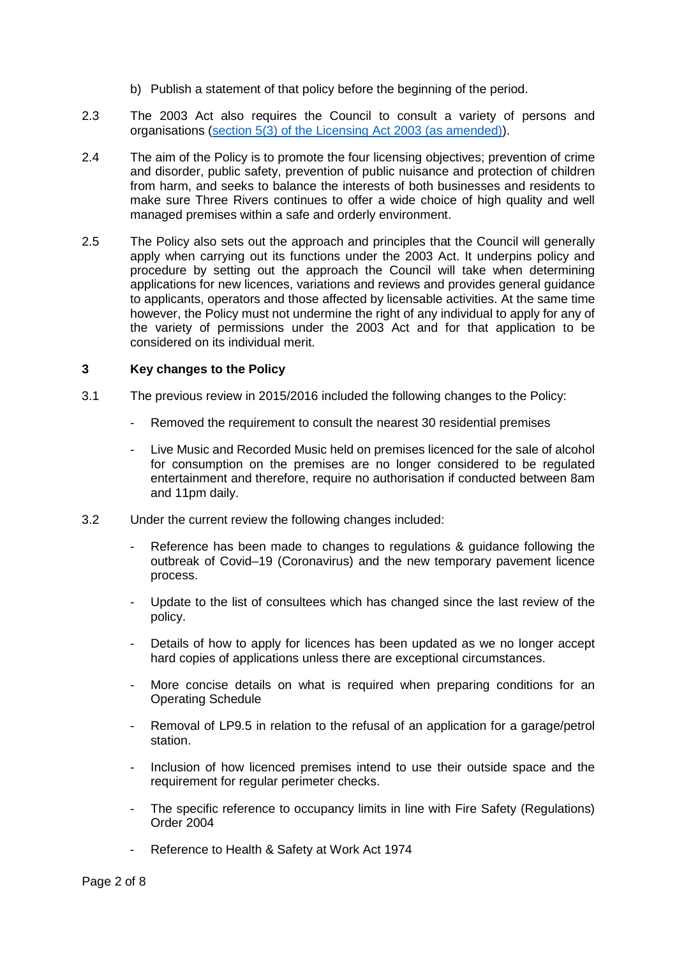- b) Publish a statement of that policy before the beginning of the period.
- 2.3 The 2003 Act also requires the Council to consult a variety of persons and organisations [\(section 5\(3\) of the Licensing Act 2003 \(as amended\)\)](https://www.legislation.gov.uk/ukpga/2003/17/section/5).
- 2.4 The aim of the Policy is to promote the four licensing objectives; prevention of crime and disorder, public safety, prevention of public nuisance and protection of children from harm, and seeks to balance the interests of both businesses and residents to make sure Three Rivers continues to offer a wide choice of high quality and well managed premises within a safe and orderly environment.
- 2.5 The Policy also sets out the approach and principles that the Council will generally apply when carrying out its functions under the 2003 Act. It underpins policy and procedure by setting out the approach the Council will take when determining applications for new licences, variations and reviews and provides general guidance to applicants, operators and those affected by licensable activities. At the same time however, the Policy must not undermine the right of any individual to apply for any of the variety of permissions under the 2003 Act and for that application to be considered on its individual merit.

### **3 Key changes to the Policy**

- 3.1 The previous review in 2015/2016 included the following changes to the Policy:
	- Removed the requirement to consult the nearest 30 residential premises
	- Live Music and Recorded Music held on premises licenced for the sale of alcohol for consumption on the premises are no longer considered to be regulated entertainment and therefore, require no authorisation if conducted between 8am and 11pm daily.
- 3.2 Under the current review the following changes included:
	- Reference has been made to changes to regulations & guidance following the outbreak of Covid–19 (Coronavirus) and the new temporary pavement licence process.
	- Update to the list of consultees which has changed since the last review of the policy.
	- Details of how to apply for licences has been updated as we no longer accept hard copies of applications unless there are exceptional circumstances.
	- More concise details on what is required when preparing conditions for an Operating Schedule
	- Removal of LP9.5 in relation to the refusal of an application for a garage/petrol station.
	- Inclusion of how licenced premises intend to use their outside space and the requirement for regular perimeter checks.
	- The specific reference to occupancy limits in line with Fire Safety (Regulations) Order 2004
	- Reference to Health & Safety at Work Act 1974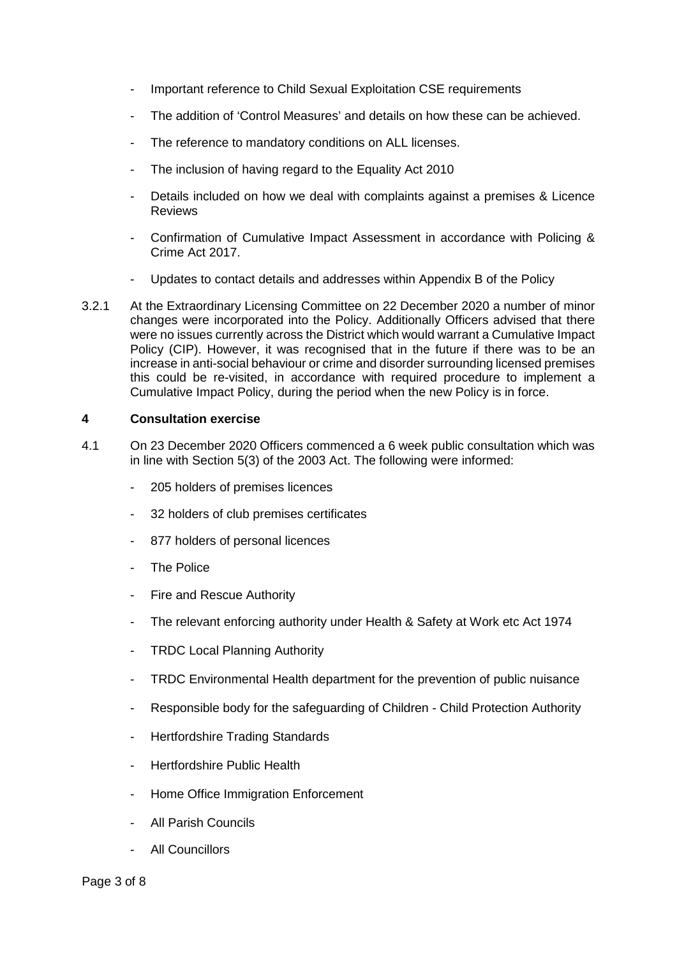- Important reference to Child Sexual Exploitation CSE requirements
- The addition of 'Control Measures' and details on how these can be achieved.
- The reference to mandatory conditions on ALL licenses.
- The inclusion of having regard to the Equality Act 2010
- Details included on how we deal with complaints against a premises & Licence Reviews
- Confirmation of Cumulative Impact Assessment in accordance with Policing & Crime Act 2017.
- Updates to contact details and addresses within Appendix B of the Policy
- 3.2.1 At the Extraordinary Licensing Committee on 22 December 2020 a number of minor changes were incorporated into the Policy. Additionally Officers advised that there were no issues currently across the District which would warrant a Cumulative Impact Policy (CIP). However, it was recognised that in the future if there was to be an increase in anti-social behaviour or crime and disorder surrounding licensed premises this could be re-visited, in accordance with required procedure to implement a Cumulative Impact Policy, during the period when the new Policy is in force.

## **4 Consultation exercise**

- 4.1 On 23 December 2020 Officers commenced a 6 week public consultation which was in line with Section 5(3) of the 2003 Act. The following were informed:
	- 205 holders of premises licences
	- 32 holders of club premises certificates
	- 877 holders of personal licences
	- The Police
	- Fire and Rescue Authority
	- The relevant enforcing authority under Health & Safety at Work etc Act 1974
	- TRDC Local Planning Authority
	- TRDC Environmental Health department for the prevention of public nuisance
	- Responsible body for the safeguarding of Children Child Protection Authority
	- Hertfordshire Trading Standards
	- Hertfordshire Public Health
	- Home Office Immigration Enforcement
	- All Parish Councils
	- All Councillors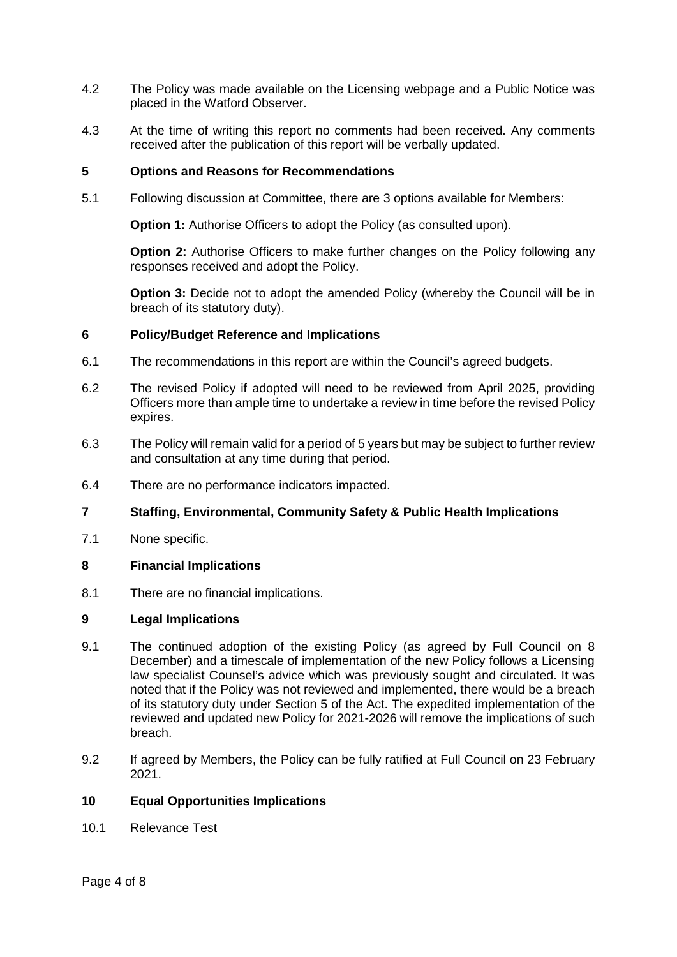- 4.2 The Policy was made available on the Licensing webpage and a Public Notice was placed in the Watford Observer.
- 4.3 At the time of writing this report no comments had been received. Any comments received after the publication of this report will be verbally updated.

### **5 Options and Reasons for Recommendations**

5.1 Following discussion at Committee, there are 3 options available for Members:

**Option 1:** Authorise Officers to adopt the Policy (as consulted upon).

**Option 2:** Authorise Officers to make further changes on the Policy following any responses received and adopt the Policy.

**Option 3:** Decide not to adopt the amended Policy (whereby the Council will be in breach of its statutory duty).

### **6 Policy/Budget Reference and Implications**

- 6.1 The recommendations in this report are within the Council's agreed budgets.
- 6.2 The revised Policy if adopted will need to be reviewed from April 2025, providing Officers more than ample time to undertake a review in time before the revised Policy expires.
- 6.3 The Policy will remain valid for a period of 5 years but may be subject to further review and consultation at any time during that period.
- 6.4 There are no performance indicators impacted.

## **7 Staffing, Environmental, Community Safety & Public Health Implications**

7.1 None specific.

## **8 Financial Implications**

8.1 There are no financial implications.

#### **9 Legal Implications**

- 9.1 The continued adoption of the existing Policy (as agreed by Full Council on 8 December) and a timescale of implementation of the new Policy follows a Licensing law specialist Counsel's advice which was previously sought and circulated. It was noted that if the Policy was not reviewed and implemented, there would be a breach of its statutory duty under Section 5 of the Act. The expedited implementation of the reviewed and updated new Policy for 2021-2026 will remove the implications of such breach.
- 9.2 If agreed by Members, the Policy can be fully ratified at Full Council on 23 February 2021.

#### **10 Equal Opportunities Implications**

10.1 Relevance Test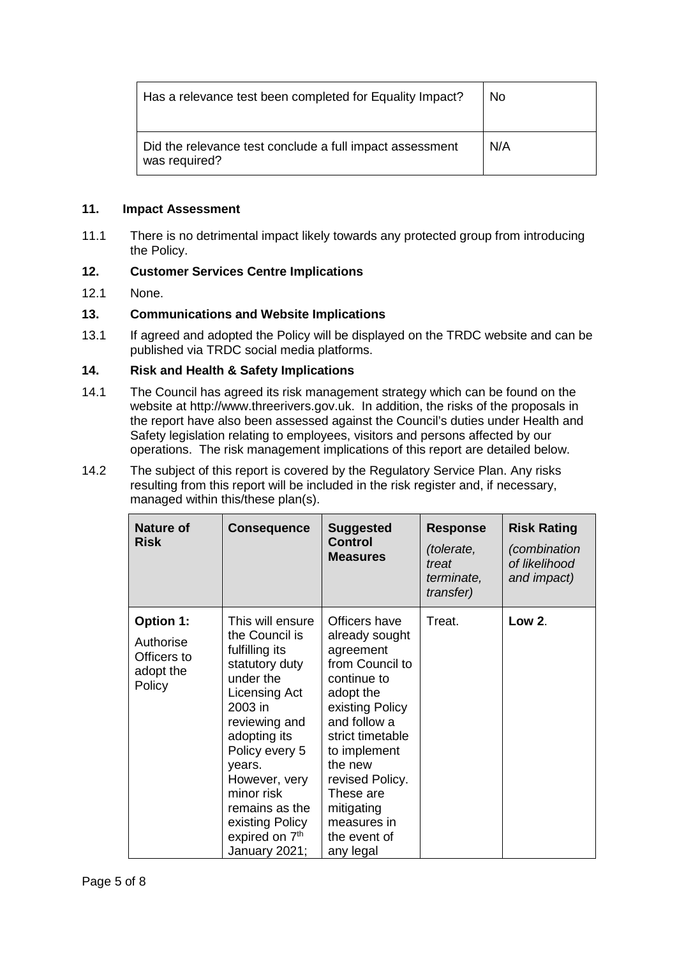| Has a relevance test been completed for Equality Impact?                  | <b>No</b> |
|---------------------------------------------------------------------------|-----------|
| Did the relevance test conclude a full impact assessment<br>was required? | N/A       |

## **11. Impact Assessment**

11.1 There is no detrimental impact likely towards any protected group from introducing the Policy.

## **12. Customer Services Centre Implications**

12.1 None.

## **13. Communications and Website Implications**

13.1 If agreed and adopted the Policy will be displayed on the TRDC website and can be published via TRDC social media platforms.

## **14. Risk and Health & Safety Implications**

- 14.1 The Council has agreed its risk management strategy which can be found on the website at http://www.threerivers.gov.uk. In addition, the risks of the proposals in the report have also been assessed against the Council's duties under Health and Safety legislation relating to employees, visitors and persons affected by our operations. The risk management implications of this report are detailed below.
- 14.2 The subject of this report is covered by the Regulatory Service Plan. Any risks resulting from this report will be included in the risk register and, if necessary, managed within this/these plan(s).

| <b>Nature of</b><br><b>Risk</b>                                     | <b>Consequence</b>                                                                                                                                                                                                                                                                              | <b>Suggested</b><br>Control<br><b>Measures</b>                                                                                                                                                                                                                          | <b>Response</b><br>(tolerate,<br>treat<br>terminate,<br>transfer) | <b>Risk Rating</b><br>(combination<br>of likelihood<br>and impact) |
|---------------------------------------------------------------------|-------------------------------------------------------------------------------------------------------------------------------------------------------------------------------------------------------------------------------------------------------------------------------------------------|-------------------------------------------------------------------------------------------------------------------------------------------------------------------------------------------------------------------------------------------------------------------------|-------------------------------------------------------------------|--------------------------------------------------------------------|
| <b>Option 1:</b><br>Authorise<br>Officers to<br>adopt the<br>Policy | This will ensure<br>the Council is<br>fulfilling its<br>statutory duty<br>under the<br>Licensing Act<br>2003 in<br>reviewing and<br>adopting its<br>Policy every 5<br>years.<br>However, very<br>minor risk<br>remains as the<br>existing Policy<br>expired on 7 <sup>th</sup><br>January 2021; | Officers have<br>already sought<br>agreement<br>from Council to<br>continue to<br>adopt the<br>existing Policy<br>and follow a<br>strict timetable<br>to implement<br>the new<br>revised Policy.<br>These are<br>mitigating<br>measures in<br>the event of<br>any legal | Treat.                                                            | Low 2.                                                             |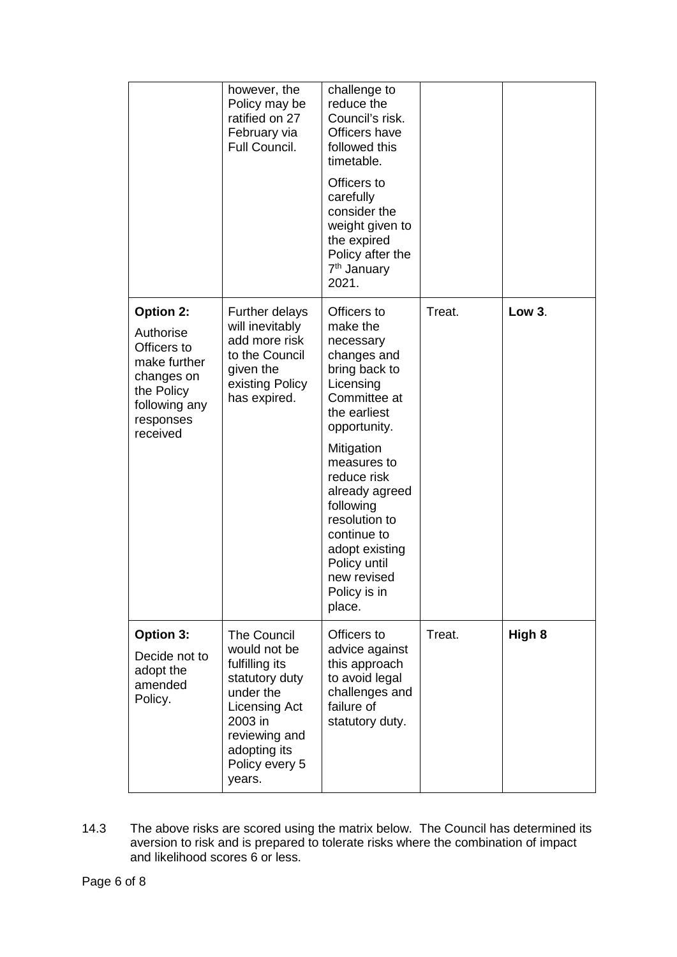|                                                                                                                                    | however, the<br>Policy may be<br>ratified on 27<br>February via<br>Full Council.                                                                                      | challenge to<br>reduce the<br>Council's risk.<br>Officers have<br>followed this<br>timetable.<br>Officers to<br>carefully<br>consider the<br>weight given to<br>the expired<br>Policy after the<br>7 <sup>th</sup> January<br>2021.                                                                                     |        |               |
|------------------------------------------------------------------------------------------------------------------------------------|-----------------------------------------------------------------------------------------------------------------------------------------------------------------------|-------------------------------------------------------------------------------------------------------------------------------------------------------------------------------------------------------------------------------------------------------------------------------------------------------------------------|--------|---------------|
| <b>Option 2:</b><br>Authorise<br>Officers to<br>make further<br>changes on<br>the Policy<br>following any<br>responses<br>received | <b>Further delays</b><br>will inevitably<br>add more risk<br>to the Council<br>given the<br>existing Policy<br>has expired.                                           | Officers to<br>make the<br>necessary<br>changes and<br>bring back to<br>Licensing<br>Committee at<br>the earliest<br>opportunity.<br>Mitigation<br>measures to<br>reduce risk<br>already agreed<br>following<br>resolution to<br>continue to<br>adopt existing<br>Policy until<br>new revised<br>Policy is in<br>place. | Treat. | <b>Low 3.</b> |
| Option 3:<br>Decide not to<br>adopt the<br>amended<br>Policy.                                                                      | The Council<br>would not be<br>fulfilling its<br>statutory duty<br>under the<br>Licensing Act<br>2003 in<br>reviewing and<br>adopting its<br>Policy every 5<br>years. | Officers to<br>advice against<br>this approach<br>to avoid legal<br>challenges and<br>failure of<br>statutory duty.                                                                                                                                                                                                     | Treat. | High 8        |

14.3 The above risks are scored using the matrix below. The Council has determined its aversion to risk and is prepared to tolerate risks where the combination of impact and likelihood scores 6 or less.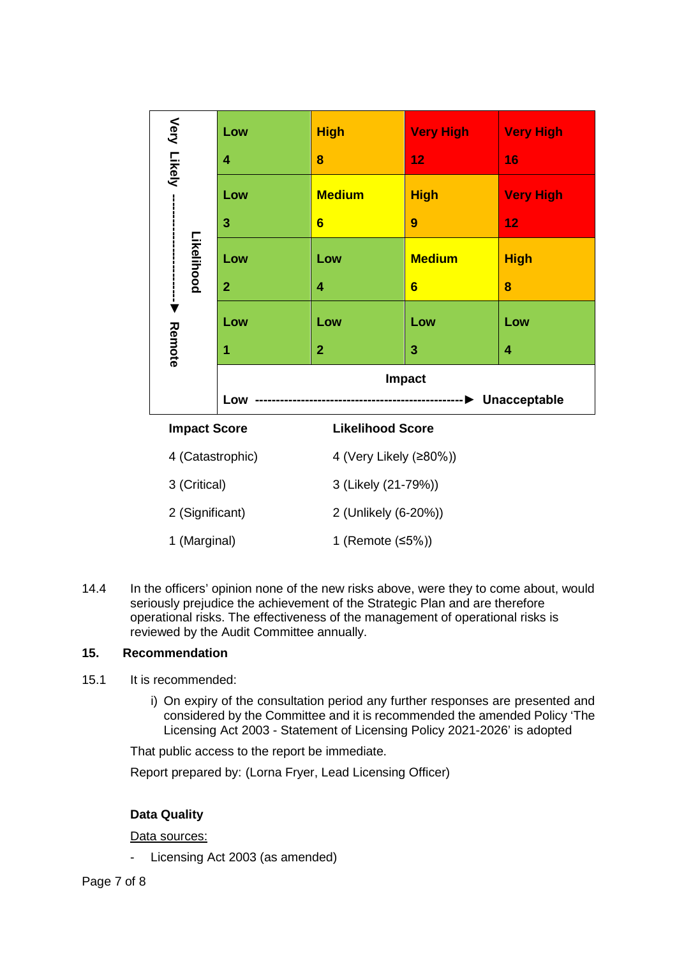|                                             | Low                                            | <b>High</b>                                                                                                                                                   | <b>Very High</b>             | <b>Very High</b>                                                                                                                                             |
|---------------------------------------------|------------------------------------------------|---------------------------------------------------------------------------------------------------------------------------------------------------------------|------------------------------|--------------------------------------------------------------------------------------------------------------------------------------------------------------|
| Very Likely                                 | 4                                              | 8                                                                                                                                                             | 12                           | 16                                                                                                                                                           |
|                                             | Low                                            | <b>Medium</b>                                                                                                                                                 | <b>High</b>                  | <b>Very High</b>                                                                                                                                             |
|                                             | 3                                              | $6\phantom{1}$                                                                                                                                                | 9                            | 12                                                                                                                                                           |
| Likelihood                                  | Low                                            | Low                                                                                                                                                           | <b>Medium</b>                | <b>High</b>                                                                                                                                                  |
| ł                                           | $\overline{2}$                                 | 4                                                                                                                                                             | $6\phantom{1}6$              | 8                                                                                                                                                            |
|                                             | Low                                            | Low                                                                                                                                                           | Low                          | Low                                                                                                                                                          |
| Remote                                      | 1                                              | $\overline{2}$                                                                                                                                                | 3                            | 4                                                                                                                                                            |
|                                             |                                                |                                                                                                                                                               | Impact                       |                                                                                                                                                              |
|                                             | Low                                            |                                                                                                                                                               | ------------- > Unacceptable |                                                                                                                                                              |
| <b>Impact Score</b>                         |                                                | <b>Likelihood Score</b>                                                                                                                                       |                              |                                                                                                                                                              |
| 4 (Catastrophic)                            |                                                | 4 (Very Likely (≥80%))                                                                                                                                        |                              |                                                                                                                                                              |
| 3 (Critical)                                |                                                | 3 (Likely (21-79%))                                                                                                                                           |                              |                                                                                                                                                              |
| 2 (Significant)                             |                                                | 2 (Unlikely (6-20%))                                                                                                                                          |                              |                                                                                                                                                              |
| 1 (Marginal)                                |                                                | 1 (Remote (≤5%))                                                                                                                                              |                              |                                                                                                                                                              |
|                                             |                                                |                                                                                                                                                               |                              |                                                                                                                                                              |
|                                             | reviewed by the Audit Committee annually.      | seriously prejudice the achievement of the Strategic Plan and are therefore<br>operational risks. The effectiveness of the management of operational risks is |                              | In the officers' opinion none of the new risks above, were they to come about, would                                                                         |
| ecommendation                               |                                                |                                                                                                                                                               |                              |                                                                                                                                                              |
| It is recommended:                          |                                                |                                                                                                                                                               |                              |                                                                                                                                                              |
|                                             |                                                | Licensing Act 2003 - Statement of Licensing Policy 2021-2026' is adopted                                                                                      |                              | i) On expiry of the consultation period any further responses are presented and<br>considered by the Committee and it is recommended the amended Policy 'The |
|                                             | That public access to the report be immediate. |                                                                                                                                                               |                              |                                                                                                                                                              |
|                                             |                                                | Report prepared by: (Lorna Fryer, Lead Licensing Officer)                                                                                                     |                              |                                                                                                                                                              |
|                                             |                                                |                                                                                                                                                               |                              |                                                                                                                                                              |
| <b>Data Quality</b><br><u>Data sources:</u> |                                                |                                                                                                                                                               |                              |                                                                                                                                                              |
|                                             | Licensing Act 2003 (as amended)                |                                                                                                                                                               |                              |                                                                                                                                                              |
|                                             |                                                |                                                                                                                                                               |                              |                                                                                                                                                              |

14.4 In the officers' opinion none of the new risks above, were they to come about, would seriously prejudice the achievement of the Strategic Plan and are therefore operational risks. The effectiveness of the management of operational risks is reviewed by the Audit Committee annually.

# **15. Recommendation**

- 15.1 It is recommended:
	- i) On expiry of the consultation period any further responses are presented and considered by the Committee and it is recommended the amended Policy 'The Licensing Act 2003 - Statement of Licensing Policy 2021-2026' is adopted

# **Data Quality**